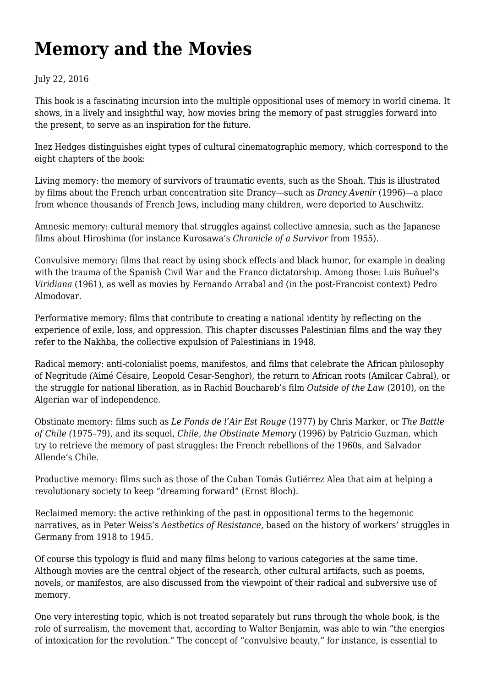## **[Memory and the Movies](https://newpol.org/review/memory-and-movies/)**

## July 22, 2016

This book is a fascinating incursion into the multiple oppositional uses of memory in world cinema. It shows, in a lively and insightful way, how movies bring the memory of past struggles forward into the present, to serve as an inspiration for the future.

Inez Hedges distinguishes eight types of cultural cinematographic memory, which correspond to the eight chapters of the book:

Living memory: the memory of survivors of traumatic events, such as the Shoah. This is illustrated by films about the French urban concentration site Drancy—such as *Drancy Avenir* (1996)—a place from whence thousands of French Jews, including many children, were deported to Auschwitz.

Amnesic memory: cultural memory that struggles against collective amnesia, such as the Japanese films about Hiroshima (for instance Kurosawa's *Chronicle of a Survivor* from 1955).

Convulsive memory: films that react by using shock effects and black humor, for example in dealing with the trauma of the Spanish Civil War and the Franco dictatorship. Among those: Luis Buñuel's *Viridiana* (1961), as well as movies by Fernando Arrabal and (in the post-Francoist context) Pedro Almodovar.

Performative memory: films that contribute to creating a national identity by reflecting on the experience of exile, loss, and oppression. This chapter discusses Palestinian films and the way they refer to the Nakhba, the collective expulsion of Palestinians in 1948.

Radical memory: anti-colonialist poems, manifestos, and films that celebrate the African philosophy of Negritude *(*Aimé Césaire, Leopold Cesar-Senghor), the return to African roots (Amilcar Cabral), or the struggle for national liberation, as in Rachid Bouchareb's film *Outside of the Law* (2010), on the Algerian war of independence.

Obstinate memory: films such as *Le Fonds de l'Air Est Rouge* (1977) by Chris Marker, or *The Battle of Chile (*1975–79), and its sequel, *Chile, the Obstinate Memory* (1996) by Patricio Guzman, which try to retrieve the memory of past struggles: the French rebellions of the 1960s, and Salvador Allende's Chile.

Productive memory: films such as those of the Cuban Tomás Gutiérrez Alea that aim at helping a revolutionary society to keep "dreaming forward" (Ernst Bloch).

Reclaimed memory: the active rethinking of the past in oppositional terms to the hegemonic narratives, as in Peter Weiss's *Aesthetics of Resistance*, based on the history of workers' struggles in Germany from 1918 to 1945.

Of course this typology is fluid and many films belong to various categories at the same time. Although movies are the central object of the research, other cultural artifacts, such as poems, novels, or manifestos, are also discussed from the viewpoint of their radical and subversive use of memory.

One very interesting topic, which is not treated separately but runs through the whole book, is the role of surrealism, the movement that, according to Walter Benjamin, was able to win "the energies of intoxication for the revolution." The concept of "convulsive beauty," for instance, is essential to